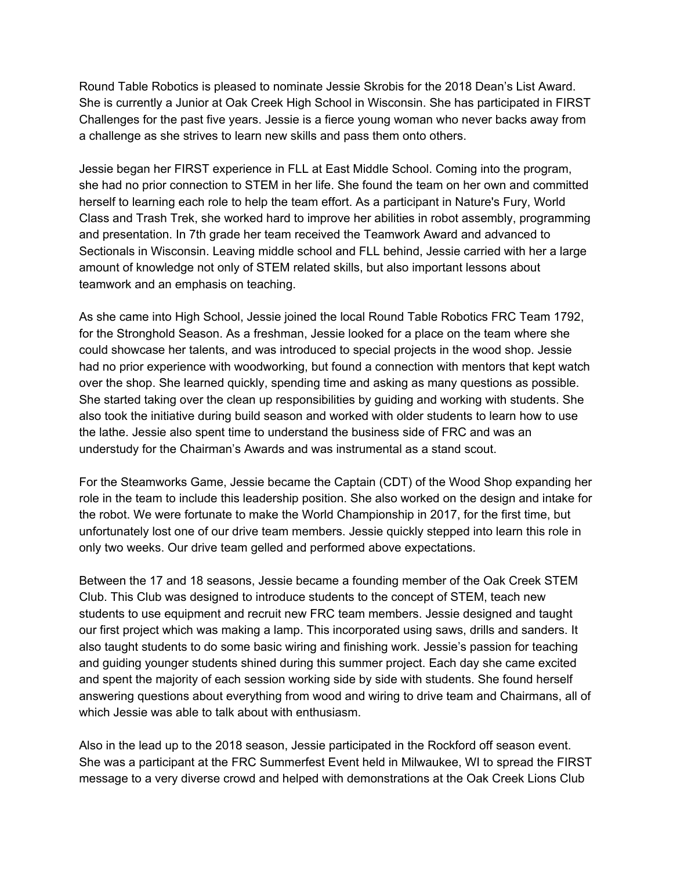Round Table Robotics is pleased to nominate Jessie Skrobis for the 2018 Dean's List Award. She is currently a Junior at Oak Creek High School in Wisconsin. She has participated in FIRST Challenges for the past five years. Jessie is a fierce young woman who never backs away from a challenge as she strives to learn new skills and pass them onto others.

Jessie began her FIRST experience in FLL at East Middle School. Coming into the program, she had no prior connection to STEM in her life. She found the team on her own and committed herself to learning each role to help the team effort. As a participant in Nature's Fury, World Class and Trash Trek, she worked hard to improve her abilities in robot assembly, programming and presentation. In 7th grade her team received the Teamwork Award and advanced to Sectionals in Wisconsin. Leaving middle school and FLL behind, Jessie carried with her a large amount of knowledge not only of STEM related skills, but also important lessons about teamwork and an emphasis on teaching.

As she came into High School, Jessie joined the local Round Table Robotics FRC Team 1792, for the Stronghold Season. As a freshman, Jessie looked for a place on the team where she could showcase her talents, and was introduced to special projects in the wood shop. Jessie had no prior experience with woodworking, but found a connection with mentors that kept watch over the shop. She learned quickly, spending time and asking as many questions as possible. She started taking over the clean up responsibilities by guiding and working with students. She also took the initiative during build season and worked with older students to learn how to use the lathe. Jessie also spent time to understand the business side of FRC and was an understudy for the Chairman's Awards and was instrumental as a stand scout.

For the Steamworks Game, Jessie became the Captain (CDT) of the Wood Shop expanding her role in the team to include this leadership position. She also worked on the design and intake for the robot. We were fortunate to make the World Championship in 2017, for the first time, but unfortunately lost one of our drive team members. Jessie quickly stepped into learn this role in only two weeks. Our drive team gelled and performed above expectations.

Between the 17 and 18 seasons, Jessie became a founding member of the Oak Creek STEM Club. This Club was designed to introduce students to the concept of STEM, teach new students to use equipment and recruit new FRC team members. Jessie designed and taught our first project which was making a lamp. This incorporated using saws, drills and sanders. It also taught students to do some basic wiring and finishing work. Jessie's passion for teaching and guiding younger students shined during this summer project. Each day she came excited and spent the majority of each session working side by side with students. She found herself answering questions about everything from wood and wiring to drive team and Chairmans, all of which Jessie was able to talk about with enthusiasm.

Also in the lead up to the 2018 season, Jessie participated in the Rockford off season event. She was a participant at the FRC Summerfest Event held in Milwaukee, WI to spread the FIRST message to a very diverse crowd and helped with demonstrations at the Oak Creek Lions Club